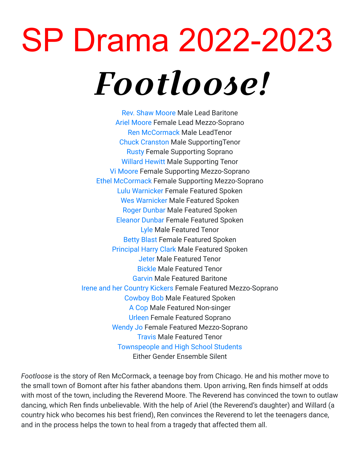## SP Drama 2022-2023 Footloose!

[Rev. Shaw Moore](https://stageagent.com/characters/4563/footloose/rev-shaw-moore) Male Lead Baritone [Ariel Moore](https://stageagent.com/characters/4564/footloose/ariel-moore) Female Lead Mezzo-Soprano [Ren McCormack](https://stageagent.com/characters/4562/footloose/ren-mccormack) Male LeadTenor [Chuck Cranston](https://stageagent.com/characters/4569/footloose/chuck-cranston) Male SupportingTenor [Rusty](https://stageagent.com/characters/4566/footloose/rusty) Female Supporting Soprano [Willard Hewitt](https://stageagent.com/characters/4567/footloose/willard-hewitt) Male Supporting Tenor [Vi Moore](https://stageagent.com/characters/4565/footloose/vi-moore) Female Supporting Mezzo-Soprano [Ethel McCormack](https://stageagent.com/characters/4568/footloose/ethel-mccormack) Female Supporting Mezzo-Soprano [Lulu Warnicker](https://stageagent.com/characters/15745/footloose/lulu-warnicker) Female Featured Spoken [Wes Warnicker](https://stageagent.com/characters/15746/footloose/wes-warnicker) Male Featured Spoken [Roger Dunbar](https://stageagent.com/characters/15747/footloose/roger-dunbar) Male Featured Spoken [Eleanor Dunbar](https://stageagent.com/characters/15748/footloose/eleanor-dunbar) Female Featured Spoken [Lyle](https://stageagent.com/characters/15749/footloose/lyle) Male Featured Tenor [Betty Blast](https://stageagent.com/characters/15752/footloose/betty-blast) Female Featured Spoken [Principal Harry Clark](https://stageagent.com/characters/15753/footloose/principal-harry-clark) Male Featured Spoken [Jeter](https://stageagent.com/characters/15754/footloose/jeter) Male Featured Tenor [Bickle](https://stageagent.com/characters/15755/footloose/bickle) Male Featured Tenor [Garvin](https://stageagent.com/characters/15756/footloose/garvin) Male Featured Baritone [Irene and her Country Kickers](https://stageagent.com/characters/15757/footloose/irene-and-her-country-kickers) Female Featured Mezzo-Soprano [Cowboy Bob](https://stageagent.com/characters/15758/footloose/cowboy-bob) Male Featured Spoken [A Cop](https://stageagent.com/characters/15751/footloose/a-cop) Male Featured Non-singer [Urleen](https://stageagent.com/characters/4571/footloose/urleen) Female Featured Soprano [Wendy Jo](https://stageagent.com/characters/4570/footloose/wendy-jo) Female Featured Mezzo-Soprano [Travis](https://stageagent.com/characters/15750/footloose/travis) Male Featured Tenor [Townspeople and High School Students](https://stageagent.com/characters/15759/footloose/townspeople-and-high-school-students) Either Gender Ensemble Silent

*Footloose* is the story of Ren McCormack, a teenage boy from Chicago. He and his mother move to the small town of Bomont after his father abandons them. Upon arriving, Ren finds himself at odds with most of the town, including the Reverend Moore. The Reverend has convinced the town to outlaw dancing, which Ren finds unbelievable. With the help of Ariel (the Reverend's daughter) and Willard (a country hick who becomes his best friend), Ren convinces the Reverend to let the teenagers dance, and in the process helps the town to heal from a tragedy that affected them all.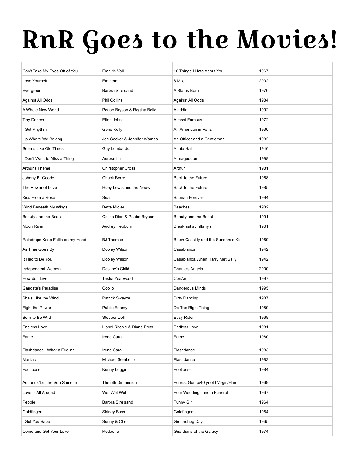## RnR Goes to the Movies!

|                                  | Frankie Valli                |                                    | 1967 |
|----------------------------------|------------------------------|------------------------------------|------|
| Can't Take My Eyes Off of You    | Eminem                       | 10 Things I Hate About You         |      |
| Lose Yourself                    |                              | 8 Mile                             | 2002 |
| Evergreen                        | <b>Barbra Streisand</b>      | A Star is Born                     | 1976 |
| Against All Odds                 | <b>Phil Collins</b>          | Against All Odds                   | 1984 |
| A Whole New World                | Peabo Bryson & Regina Belle  | Aladdin                            | 1992 |
| <b>Tiny Dancer</b>               | Elton John                   | <b>Almost Famous</b>               | 1972 |
| I Got Rhythm                     | Gene Kelly                   | An American in Paris               | 1930 |
| Up Where We Belong               | Joe Cocker & Jennifer Warnes | An Officer and a Gentleman         | 1982 |
| Seems Like Old Times             | Guy Lombardo                 | Annie Hall                         | 1946 |
| I Don't Want to Miss a Thing     | Aerosmith                    | Armageddon                         | 1998 |
| Arthur's Theme                   | <b>Chirstopher Cross</b>     | Arthur                             | 1981 |
| Johnny B. Goode                  | <b>Chuck Berry</b>           | Back to the Future                 | 1958 |
| The Power of Love                | Huey Lewis and the News      | Back to the Future                 | 1985 |
| Kiss From a Rose                 | Seal                         | <b>Batman Forever</b>              | 1994 |
| Wind Beneath My Wings            | <b>Bette Midler</b>          | <b>Beaches</b>                     | 1982 |
| Beauty and the Beast             | Celine Dion & Peabo Bryson   | Beauty and the Beast               | 1991 |
| Moon River                       | Audrey Hepburn               | Breakfast at Tiffany's             | 1961 |
| Raindrops Keep Fallin on my Head | <b>BJ Thomas</b>             | Butch Cassidy and the Sundance Kid | 1969 |
| As Time Goes By                  | Dooley Wilson                | Casablanca                         | 1942 |
| It Had to Be You                 | Dooley Wilson                | Casablanca/When Harry Met Sally    | 1942 |
| Independent Women                | Destiny's Child              | <b>Charlie's Angels</b>            | 2000 |
| How do I Live                    | Trisha Yearwood              | ConAir                             | 1997 |
| Gangsta's Paradise               | Coolio                       | Dangerous Minds                    | 1995 |
| She's Like the Wind              | Patrick Swayze               | <b>Dirty Dancing</b>               | 1987 |
| Fight the Power                  | Public Enemy                 | Do The Right Thing                 | 1989 |
| Born to Be Wild                  | Steppenwolf                  | Easy Rider                         | 1968 |
| Endless Love                     | Lionel Ritchie & Diana Ross  | Endless Love                       | 1981 |
| Fame                             | Irene Cara                   | Fame                               | 1980 |
| FlashdanceWhat a Feeling         | Irene Cara                   | Flashdance                         | 1983 |
| Maniac                           | Michael Sembello             | Flashdance                         | 1983 |
| Footloose                        | Kenny Loggins                | Footloose                          | 1984 |
|                                  |                              |                                    |      |
| Aquarius/Let the Sun Shine In    | The 5th Dimension            | Forrest Gump/40 yr old Virgin/Hair | 1969 |
| Love is All Around               | Wet Wet Wet                  | Four Weddings and a Funeral        | 1967 |
| People                           | <b>Barbra Streisand</b>      | <b>Funny Girl</b>                  | 1964 |
| Goldfinger                       | <b>Shirley Bass</b>          | Goldfinger                         | 1964 |
| I Got You Babe                   | Sonny & Cher                 | Groundhog Day                      | 1965 |
| Come and Get Your Love           | Redbone                      | Guardians of the Galaxy            | 1974 |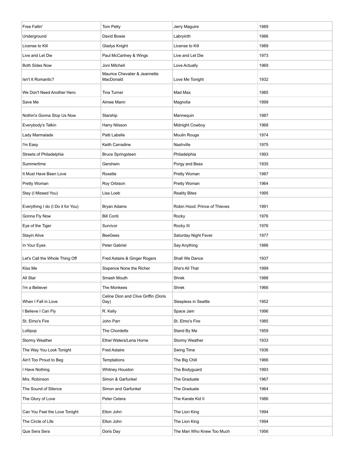| Free Fallin'                      | Tom Petty                                  | Jerry Maguire                 | 1989 |
|-----------------------------------|--------------------------------------------|-------------------------------|------|
| Underground                       | David Bowie                                | Labryinth                     | 1986 |
| License to Kill                   | Gladys Knight                              | License to Kill               | 1989 |
| Live and Let Die                  | Paul McCartney & Wings                     | Live and Let Die              | 1973 |
| <b>Both Sides Now</b>             | Joni Mitchell                              | Love Actually                 | 1969 |
| Isn't It Romantic?                | Maurice Chevalier & Jeannette<br>MacDonald | Love Me Tonight               | 1932 |
| We Don't Need Another Hero        | Tina Turner                                | Mad Max                       | 1985 |
| Save Me                           | Aimee Mann                                 | Magnolia                      | 1999 |
| Nothin's Gonna Stop Us Now        | Starship                                   | Mannequin                     | 1987 |
| Everybody's Talkin                | Harry Nilsson                              | Midnight Cowboy               | 1968 |
| Lady Marmalade                    | Patti Labelle                              | Moulin Rouge                  | 1974 |
| I'm Easy                          | Keith Carradine                            | Nashville                     | 1975 |
| Streets of Philadelphia           | <b>Bruce Springsteen</b>                   | Philadelphia                  | 1993 |
| Summertime                        | Gershwin                                   | Porgy and Bess                | 1935 |
| It Must Have Been Love            | Roxette                                    | Pretty Woman                  | 1987 |
| Pretty Woman                      | Roy Orbison                                | Pretty Woman                  | 1964 |
| Stay (I Missed You)               | Lisa Loeb                                  | <b>Reality Bites</b>          | 1995 |
| Everything I do (I Do it for You) | <b>Bryan Adams</b>                         | Robin Hood: Prince of Thieves | 1991 |
| Gonna Fly Now                     | <b>Bill Conti</b>                          | Rocky                         | 1976 |
| Eye of the Tiger                  | Survivor                                   | Rocky III                     | 1976 |
| <b>Stayin Alive</b>               | <b>BeeGees</b>                             | Saturday Night Fever          | 1977 |
| In Your Eyes                      | Peter Gabriel                              | Say Anything                  | 1986 |
| Let's Call the Whole Thing Off    | Fred Astaire & Ginger Rogers               | Shall We Dance                | 1937 |
| Kiss Me                           | Sixpence None the Richer                   | She's All That                | 1999 |
| All Star                          | Smash Mouth                                | Shrek                         | 1988 |
| I'm a Believer                    | The Monkees                                | Shrek                         | 1966 |
|                                   | Celine Dion and Clive Griffin (Doris       |                               |      |
| When I Fall in Love               | Day)                                       | Sleepless in Seattle          | 1952 |
| I Believe I Can Fly               | R. Kelly                                   | Space Jam                     | 1996 |
| St. Elmo's Fire                   | John Parr                                  | St. Elmo's Fire               | 1985 |
| Lollipop                          | The Chordetts                              | Stand By Me                   | 1959 |
| Stormy Weather                    | Ethel Waters/Lena Horne                    | Stormy Weather                | 1933 |
| The Way You Look Tonight          | <b>Fred Astaire</b>                        | Swing Time                    | 1936 |
| Ain't Too Proud to Beg            | <b>Temptations</b>                         | The Big Chill                 | 1966 |
| I Have Nothing                    | <b>Whitney Houston</b>                     | The Bodyguard                 | 1993 |
| Mrs. Robinson                     | Simon & Garfunkel                          | The Graduate                  | 1967 |
| The Sound of Silence              | Simon and Garfunkel                        | The Graduate                  | 1964 |
| The Glory of Love                 | Peter Cetera                               | The Karate Kid II             | 1986 |
| Can You Feel the Love Tonight     | Elton John                                 | The Lion King                 | 1994 |
| The Circle of Life                | Elton John                                 | The Lion King                 | 1994 |
| Que Sera Sera                     | Doris Day                                  | The Man Who Knew Too Much     | 1956 |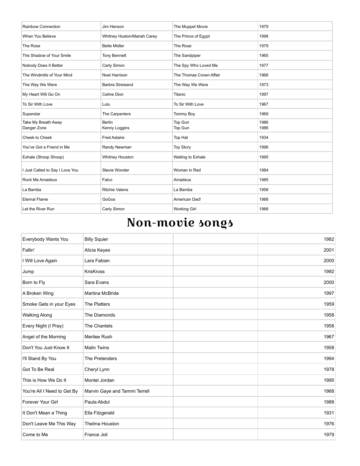| Rainbow Connection                 | Jim Henson                     | The Muppet Movie        | 1979         |
|------------------------------------|--------------------------------|-------------------------|--------------|
| When You Believe                   | Whitney Huston/Mariah Carey    | The Prince of Egypt     | 1998         |
| The Rose                           | <b>Bette Midler</b>            | The Rose                | 1979         |
| The Shadow of Your Smile           | <b>Tony Bennett</b>            | The Sandpiper           | 1965         |
| Nobody Does It Better              | Carly Simon                    | The Spy Who Loved Me    | 1977         |
| The Windmills of Your Mind         | Noel Harrison                  | The Thomas Crown Affair | 1968         |
| The Way We Were                    | <b>Barbra Streisand</b>        | The Way We Were         | 1973         |
| My Heart Will Go On                | Celine Dion                    | <b>Titanic</b>          | 1997         |
| To Sir With Love                   | Lulu                           | To Sir With Love        | 1967         |
| Superstar                          | The Carpenters                 | <b>Tommy Boy</b>        | 1969         |
| Take My Breath Away<br>Danger Zone | <b>Berlin</b><br>Kenny Loggins | Top Gun<br>Top Gun      | 1986<br>1986 |
| Cheek to Cheek                     | <b>Fred Astaire</b>            | Top Hat                 | 1934         |
| You've Got a Friend in Me          | Randy Newman                   | <b>Toy Story</b>        | 1996         |
| Exhale (Shoop Shoop)               | Whitney Houston                | Waiting to Exhale       | 1995         |
| I Just Called to Say I Love You    | Stevie Wonder                  | Woman in Red            | 1984         |
| Rock Me Amadeus                    | Falco                          | Amadeus                 | 1985         |
| La Bamba                           | <b>Ritchie Valens</b>          | La Bamba                | 1958         |
| <b>Eternal Flame</b>               | GoGos                          | American Dad!           | 1988         |
| Let the River Run                  | Carly Simon                    | <b>Working Girl</b>     | 1988         |

## Non-movie songs

| Everybody Wants You         | <b>Billy Squier</b>           | 1982 |
|-----------------------------|-------------------------------|------|
| Fallin'                     | Alicia Keyes                  | 2001 |
| I Will Love Again           | Lara Fabian                   | 2000 |
| Jump                        | <b>KrisKross</b>              | 1992 |
| Born to Fly                 | Sara Evans                    | 2000 |
| A Broken Wing               | <b>Martina McBride</b>        | 1997 |
| Smoke Gets in your Eyes     | The Platters                  | 1959 |
| <b>Walking Along</b>        | The Diamonds                  | 1958 |
| Every Night (I Pray)        | The Chantels                  | 1958 |
| Angel of the Morning        | Merilee Rush                  | 1967 |
| Don't You Just Know It      | <b>Malin Twins</b>            | 1958 |
| I'll Stand By You           | The Pretenders                | 1994 |
| Got To Be Real              | Cheryl Lynn                   | 1978 |
| This is How We Do It        | Montel Jordan                 | 1995 |
| You're All I Need to Get By | Marvin Gaye and Tammi Terrell | 1968 |
| Forever Your Girl           | Paula Abdul                   | 1988 |
| It Don't Mean a Thing       | Ella Fitzgerald               | 1931 |
| Don't Leave Me This Way     | Thelma Houston                | 1976 |
| Come to Me                  | France Joli                   | 1979 |